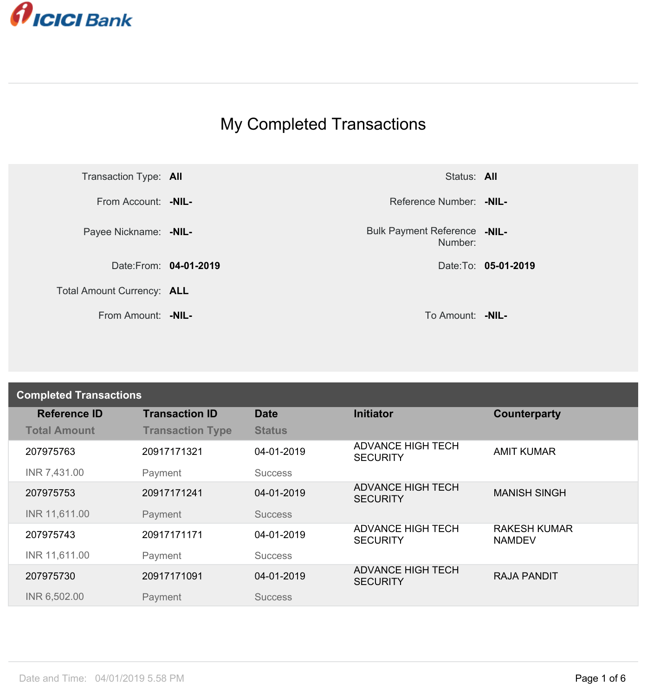

## My Completed Transactions



Number: **-NIL-**

| <b>Completed Transactions</b> |                         |                |                                             |                                      |  |
|-------------------------------|-------------------------|----------------|---------------------------------------------|--------------------------------------|--|
| <b>Reference ID</b>           | <b>Transaction ID</b>   | <b>Date</b>    | <b>Initiator</b>                            | Counterparty                         |  |
| <b>Total Amount</b>           | <b>Transaction Type</b> | <b>Status</b>  |                                             |                                      |  |
| 207975763                     | 20917171321             | 04-01-2019     | <b>ADVANCE HIGH TECH</b><br><b>SECURITY</b> | <b>AMIT KUMAR</b>                    |  |
| INR 7,431.00                  | Payment                 | <b>Success</b> |                                             |                                      |  |
| 207975753                     | 20917171241             | 04-01-2019     | <b>ADVANCE HIGH TECH</b><br><b>SECURITY</b> | <b>MANISH SINGH</b>                  |  |
| INR 11,611.00                 | Payment                 | <b>Success</b> |                                             |                                      |  |
| 207975743                     | 20917171171             | 04-01-2019     | <b>ADVANCE HIGH TECH</b><br><b>SECURITY</b> | <b>RAKESH KUMAR</b><br><b>NAMDEV</b> |  |
| INR 11,611.00                 | Payment                 | <b>Success</b> |                                             |                                      |  |
| 207975730                     | 20917171091             | 04-01-2019     | <b>ADVANCE HIGH TECH</b><br><b>SECURITY</b> | <b>RAJA PANDIT</b>                   |  |
| INR 6,502.00                  | Payment                 | <b>Success</b> |                                             |                                      |  |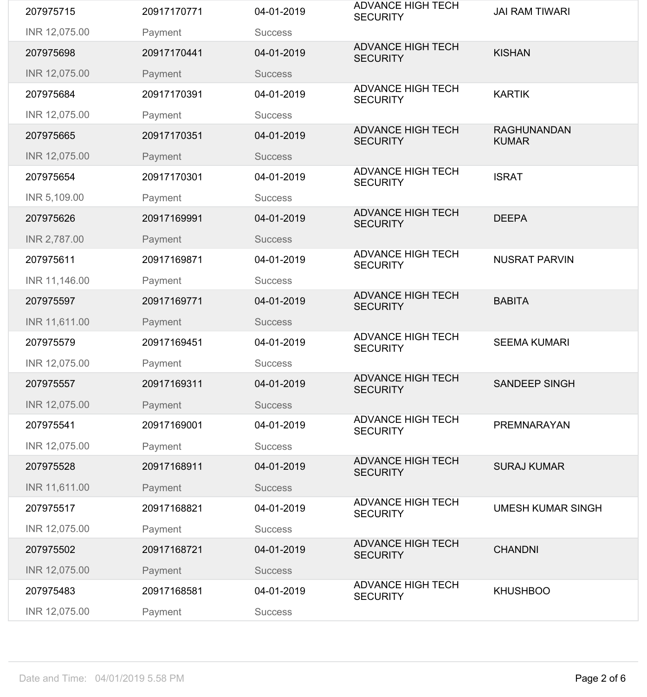| 207975715     | 20917170771 | 04-01-2019     | <b>ADVANCE HIGH TECH</b><br><b>SECURITY</b> | <b>JAI RAM TIWARI</b>              |
|---------------|-------------|----------------|---------------------------------------------|------------------------------------|
| INR 12,075.00 | Payment     | <b>Success</b> |                                             |                                    |
| 207975698     | 20917170441 | 04-01-2019     | <b>ADVANCE HIGH TECH</b><br><b>SECURITY</b> | <b>KISHAN</b>                      |
| INR 12,075.00 | Payment     | <b>Success</b> |                                             |                                    |
| 207975684     | 20917170391 | 04-01-2019     | <b>ADVANCE HIGH TECH</b><br><b>SECURITY</b> | <b>KARTIK</b>                      |
| INR 12,075.00 | Payment     | <b>Success</b> |                                             |                                    |
| 207975665     | 20917170351 | 04-01-2019     | <b>ADVANCE HIGH TECH</b><br><b>SECURITY</b> | <b>RAGHUNANDAN</b><br><b>KUMAR</b> |
| INR 12,075.00 | Payment     | <b>Success</b> |                                             |                                    |
| 207975654     | 20917170301 | 04-01-2019     | <b>ADVANCE HIGH TECH</b><br><b>SECURITY</b> | <b>ISRAT</b>                       |
| INR 5,109.00  | Payment     | <b>Success</b> |                                             |                                    |
| 207975626     | 20917169991 | 04-01-2019     | <b>ADVANCE HIGH TECH</b><br><b>SECURITY</b> | <b>DEEPA</b>                       |
| INR 2,787.00  | Payment     | <b>Success</b> |                                             |                                    |
| 207975611     | 20917169871 | 04-01-2019     | <b>ADVANCE HIGH TECH</b><br><b>SECURITY</b> | <b>NUSRAT PARVIN</b>               |
| INR 11,146.00 | Payment     | <b>Success</b> |                                             |                                    |
| 207975597     | 20917169771 | 04-01-2019     | <b>ADVANCE HIGH TECH</b><br><b>SECURITY</b> | <b>BABITA</b>                      |
| INR 11,611.00 | Payment     | <b>Success</b> |                                             |                                    |
| 207975579     | 20917169451 | 04-01-2019     | <b>ADVANCE HIGH TECH</b><br><b>SECURITY</b> | <b>SEEMA KUMARI</b>                |
| INR 12,075.00 | Payment     | <b>Success</b> |                                             |                                    |
| 207975557     | 20917169311 | 04-01-2019     | <b>ADVANCE HIGH TECH</b><br><b>SECURITY</b> | <b>SANDEEP SINGH</b>               |
| INR 12,075.00 | Payment     | <b>Success</b> |                                             |                                    |
| 207975541     | 20917169001 | 04-01-2019     | <b>ADVANCE HIGH TECH</b><br><b>SECURITY</b> | PREMNARAYAN                        |
| INR 12,075.00 | Payment     | <b>Success</b> |                                             |                                    |
| 207975528     | 20917168911 | 04-01-2019     | <b>ADVANCE HIGH TECH</b><br><b>SECURITY</b> | <b>SURAJ KUMAR</b>                 |
| INR 11,611.00 | Payment     | <b>Success</b> |                                             |                                    |
| 207975517     | 20917168821 | 04-01-2019     | <b>ADVANCE HIGH TECH</b><br><b>SECURITY</b> | <b>UMESH KUMAR SINGH</b>           |
| INR 12,075.00 | Payment     | <b>Success</b> |                                             |                                    |
| 207975502     | 20917168721 | 04-01-2019     | <b>ADVANCE HIGH TECH</b><br><b>SECURITY</b> | <b>CHANDNI</b>                     |
| INR 12,075.00 | Payment     | <b>Success</b> |                                             |                                    |
| 207975483     | 20917168581 | 04-01-2019     | <b>ADVANCE HIGH TECH</b><br><b>SECURITY</b> | <b>KHUSHBOO</b>                    |
| INR 12,075.00 | Payment     | <b>Success</b> |                                             |                                    |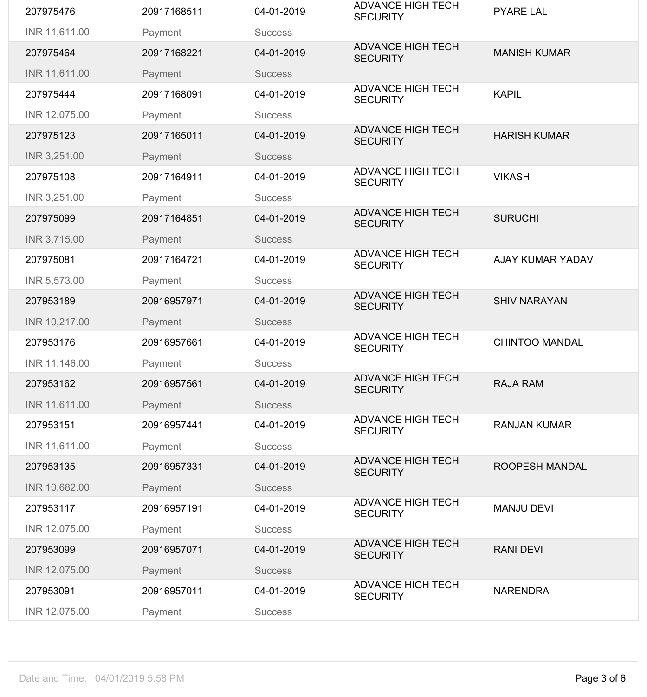| 207975476     | 20917168511 | 04-01-2019     | <b>ADVANCE HIGH TECH</b><br><b>SECURITY</b> | <b>PYARE LAL</b>        |
|---------------|-------------|----------------|---------------------------------------------|-------------------------|
| INR 11,611.00 | Payment     | <b>Success</b> |                                             |                         |
| 207975464     | 20917168221 | 04-01-2019     | <b>ADVANCE HIGH TECH</b><br><b>SECURITY</b> | <b>MANISH KUMAR</b>     |
| INR 11,611.00 | Payment     | <b>Success</b> |                                             |                         |
| 207975444     | 20917168091 | 04-01-2019     | <b>ADVANCE HIGH TECH</b><br><b>SECURITY</b> | <b>KAPIL</b>            |
| INR 12,075.00 | Payment     | <b>Success</b> |                                             |                         |
| 207975123     | 20917165011 | 04-01-2019     | <b>ADVANCE HIGH TECH</b><br><b>SECURITY</b> | <b>HARISH KUMAR</b>     |
| INR 3,251.00  | Payment     | <b>Success</b> |                                             |                         |
| 207975108     | 20917164911 | 04-01-2019     | <b>ADVANCE HIGH TECH</b><br><b>SECURITY</b> | <b>VIKASH</b>           |
| INR 3,251.00  | Payment     | <b>Success</b> |                                             |                         |
| 207975099     | 20917164851 | 04-01-2019     | <b>ADVANCE HIGH TECH</b><br><b>SECURITY</b> | <b>SURUCHI</b>          |
| INR 3,715.00  | Payment     | <b>Success</b> |                                             |                         |
| 207975081     | 20917164721 | 04-01-2019     | <b>ADVANCE HIGH TECH</b><br><b>SECURITY</b> | <b>AJAY KUMAR YADAV</b> |
| INR 5,573.00  | Payment     | <b>Success</b> |                                             |                         |
| 207953189     | 20916957971 | 04-01-2019     | <b>ADVANCE HIGH TECH</b><br><b>SECURITY</b> | <b>SHIV NARAYAN</b>     |
| INR 10,217.00 | Payment     | <b>Success</b> |                                             |                         |
| 207953176     | 20916957661 | 04-01-2019     | <b>ADVANCE HIGH TECH</b><br><b>SECURITY</b> | <b>CHINTOO MANDAL</b>   |
| INR 11,146.00 | Payment     | <b>Success</b> |                                             |                         |
| 207953162     | 20916957561 | 04-01-2019     | <b>ADVANCE HIGH TECH</b><br><b>SECURITY</b> | <b>RAJA RAM</b>         |
| INR 11,611.00 | Payment     | <b>Success</b> |                                             |                         |
| 207953151     | 20916957441 | 04-01-2019     | <b>ADVANCE HIGH TECH</b><br><b>SECURITY</b> | <b>RANJAN KUMAR</b>     |
| INR 11,611.00 | Payment     | <b>Success</b> |                                             |                         |
| 207953135     | 20916957331 | 04-01-2019     | <b>ADVANCE HIGH TECH</b><br><b>SECURITY</b> | <b>ROOPESH MANDAL</b>   |
| INR 10,682.00 | Payment     | <b>Success</b> |                                             |                         |
| 207953117     | 20916957191 | 04-01-2019     | <b>ADVANCE HIGH TECH</b><br><b>SECURITY</b> | <b>MANJU DEVI</b>       |
| INR 12,075.00 | Payment     | <b>Success</b> |                                             |                         |
| 207953099     | 20916957071 | 04-01-2019     | <b>ADVANCE HIGH TECH</b><br><b>SECURITY</b> | <b>RANI DEVI</b>        |
| INR 12,075.00 | Payment     | <b>Success</b> |                                             |                         |
| 207953091     | 20916957011 | 04-01-2019     | <b>ADVANCE HIGH TECH</b><br><b>SECURITY</b> | <b>NARENDRA</b>         |
| INR 12,075.00 | Payment     | <b>Success</b> |                                             |                         |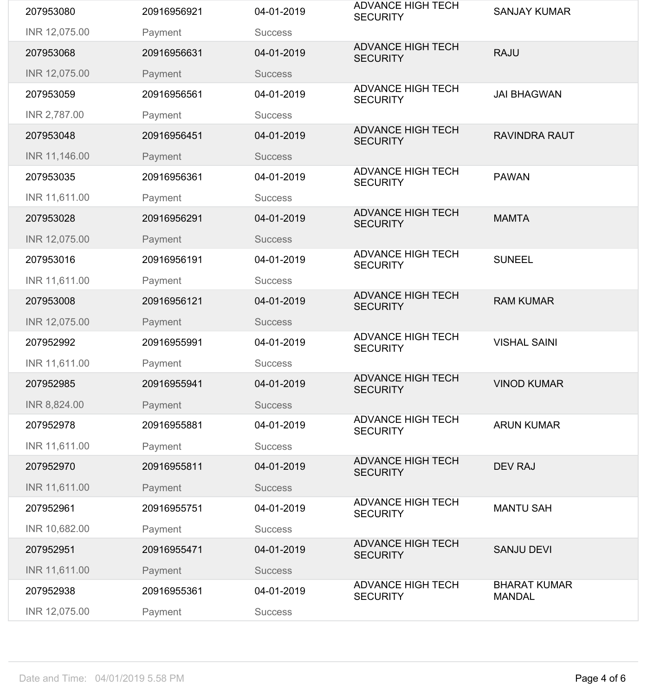| 207953080     | 20916956921 | 04-01-2019     | <b>ADVANCE HIGH TECH</b><br><b>SECURITY</b> | <b>SANJAY KUMAR</b>                  |
|---------------|-------------|----------------|---------------------------------------------|--------------------------------------|
| INR 12,075.00 | Payment     | <b>Success</b> |                                             |                                      |
| 207953068     | 20916956631 | 04-01-2019     | <b>ADVANCE HIGH TECH</b><br><b>SECURITY</b> | <b>RAJU</b>                          |
| INR 12,075.00 | Payment     | <b>Success</b> |                                             |                                      |
| 207953059     | 20916956561 | 04-01-2019     | <b>ADVANCE HIGH TECH</b><br><b>SECURITY</b> | <b>JAI BHAGWAN</b>                   |
| INR 2,787.00  | Payment     | <b>Success</b> |                                             |                                      |
| 207953048     | 20916956451 | 04-01-2019     | <b>ADVANCE HIGH TECH</b><br><b>SECURITY</b> | <b>RAVINDRA RAUT</b>                 |
| INR 11,146.00 | Payment     | <b>Success</b> |                                             |                                      |
| 207953035     | 20916956361 | 04-01-2019     | <b>ADVANCE HIGH TECH</b><br><b>SECURITY</b> | <b>PAWAN</b>                         |
| INR 11,611.00 | Payment     | <b>Success</b> |                                             |                                      |
| 207953028     | 20916956291 | 04-01-2019     | <b>ADVANCE HIGH TECH</b><br><b>SECURITY</b> | <b>MAMTA</b>                         |
| INR 12,075.00 | Payment     | <b>Success</b> |                                             |                                      |
| 207953016     | 20916956191 | 04-01-2019     | <b>ADVANCE HIGH TECH</b><br><b>SECURITY</b> | <b>SUNEEL</b>                        |
| INR 11,611.00 | Payment     | <b>Success</b> |                                             |                                      |
| 207953008     | 20916956121 | 04-01-2019     | <b>ADVANCE HIGH TECH</b><br><b>SECURITY</b> | <b>RAM KUMAR</b>                     |
| INR 12,075.00 | Payment     | <b>Success</b> |                                             |                                      |
| 207952992     | 20916955991 | 04-01-2019     | <b>ADVANCE HIGH TECH</b><br><b>SECURITY</b> | <b>VISHAL SAINI</b>                  |
| INR 11,611.00 | Payment     | <b>Success</b> |                                             |                                      |
| 207952985     | 20916955941 | 04-01-2019     | <b>ADVANCE HIGH TECH</b><br><b>SECURITY</b> | <b>VINOD KUMAR</b>                   |
| INR 8,824.00  | Payment     | <b>Success</b> |                                             |                                      |
| 207952978     | 20916955881 | 04-01-2019     | <b>ADVANCE HIGH TECH</b><br><b>SECURITY</b> | <b>ARUN KUMAR</b>                    |
| INR 11,611.00 | Payment     | <b>Success</b> |                                             |                                      |
| 207952970     | 20916955811 | 04-01-2019     | <b>ADVANCE HIGH TECH</b><br><b>SECURITY</b> | <b>DEV RAJ</b>                       |
| INR 11,611.00 | Payment     | <b>Success</b> |                                             |                                      |
| 207952961     | 20916955751 | 04-01-2019     | <b>ADVANCE HIGH TECH</b><br><b>SECURITY</b> | <b>MANTU SAH</b>                     |
| INR 10,682.00 | Payment     | <b>Success</b> |                                             |                                      |
| 207952951     | 20916955471 | 04-01-2019     | <b>ADVANCE HIGH TECH</b><br><b>SECURITY</b> | <b>SANJU DEVI</b>                    |
| INR 11,611.00 | Payment     | <b>Success</b> |                                             |                                      |
| 207952938     | 20916955361 | 04-01-2019     | <b>ADVANCE HIGH TECH</b><br><b>SECURITY</b> | <b>BHARAT KUMAR</b><br><b>MANDAL</b> |
| INR 12,075.00 | Payment     | <b>Success</b> |                                             |                                      |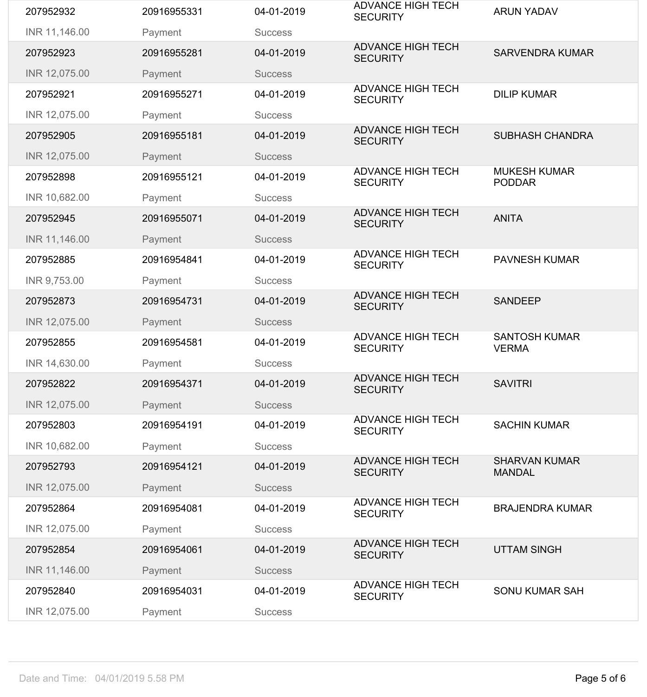| 207952932     | 20916955331 | 04-01-2019     | <b>ADVANCE HIGH TECH</b><br><b>SECURITY</b> | <b>ARUN YADAV</b>                     |
|---------------|-------------|----------------|---------------------------------------------|---------------------------------------|
| INR 11,146.00 | Payment     | <b>Success</b> |                                             |                                       |
| 207952923     | 20916955281 | 04-01-2019     | <b>ADVANCE HIGH TECH</b><br><b>SECURITY</b> | <b>SARVENDRA KUMAR</b>                |
| INR 12,075.00 | Payment     | <b>Success</b> |                                             |                                       |
| 207952921     | 20916955271 | 04-01-2019     | <b>ADVANCE HIGH TECH</b><br><b>SECURITY</b> | <b>DILIP KUMAR</b>                    |
| INR 12,075.00 | Payment     | <b>Success</b> |                                             |                                       |
| 207952905     | 20916955181 | 04-01-2019     | <b>ADVANCE HIGH TECH</b><br><b>SECURITY</b> | <b>SUBHASH CHANDRA</b>                |
| INR 12,075.00 | Payment     | <b>Success</b> |                                             |                                       |
| 207952898     | 20916955121 | 04-01-2019     | <b>ADVANCE HIGH TECH</b><br><b>SECURITY</b> | <b>MUKESH KUMAR</b><br><b>PODDAR</b>  |
| INR 10,682.00 | Payment     | <b>Success</b> |                                             |                                       |
| 207952945     | 20916955071 | 04-01-2019     | <b>ADVANCE HIGH TECH</b><br><b>SECURITY</b> | <b>ANITA</b>                          |
| INR 11,146.00 | Payment     | <b>Success</b> |                                             |                                       |
| 207952885     | 20916954841 | 04-01-2019     | <b>ADVANCE HIGH TECH</b><br><b>SECURITY</b> | <b>PAVNESH KUMAR</b>                  |
| INR 9,753.00  | Payment     | <b>Success</b> |                                             |                                       |
| 207952873     | 20916954731 | 04-01-2019     | <b>ADVANCE HIGH TECH</b><br><b>SECURITY</b> | <b>SANDEEP</b>                        |
| INR 12,075.00 | Payment     | <b>Success</b> |                                             |                                       |
| 207952855     | 20916954581 | 04-01-2019     | <b>ADVANCE HIGH TECH</b><br><b>SECURITY</b> | <b>SANTOSH KUMAR</b><br><b>VERMA</b>  |
| INR 14,630.00 | Payment     | <b>Success</b> |                                             |                                       |
| 207952822     | 20916954371 | 04-01-2019     | <b>ADVANCE HIGH TECH</b><br><b>SECURITY</b> | <b>SAVITRI</b>                        |
| INR 12,075.00 | Payment     | <b>Success</b> |                                             |                                       |
| 207952803     | 20916954191 | 04-01-2019     | <b>ADVANCE HIGH TECH</b><br><b>SECURITY</b> | <b>SACHIN KUMAR</b>                   |
| INR 10,682.00 | Payment     | <b>Success</b> |                                             |                                       |
|               |             |                |                                             |                                       |
| 207952793     | 20916954121 | 04-01-2019     | <b>ADVANCE HIGH TECH</b><br><b>SECURITY</b> | <b>SHARVAN KUMAR</b><br><b>MANDAL</b> |
| INR 12,075.00 | Payment     | <b>Success</b> |                                             |                                       |
| 207952864     | 20916954081 | 04-01-2019     | <b>ADVANCE HIGH TECH</b><br><b>SECURITY</b> | <b>BRAJENDRA KUMAR</b>                |
| INR 12,075.00 | Payment     | <b>Success</b> |                                             |                                       |
| 207952854     | 20916954061 | 04-01-2019     | <b>ADVANCE HIGH TECH</b><br><b>SECURITY</b> | <b>UTTAM SINGH</b>                    |
| INR 11,146.00 | Payment     | <b>Success</b> |                                             |                                       |
| 207952840     | 20916954031 | 04-01-2019     | <b>ADVANCE HIGH TECH</b><br><b>SECURITY</b> | <b>SONU KUMAR SAH</b>                 |